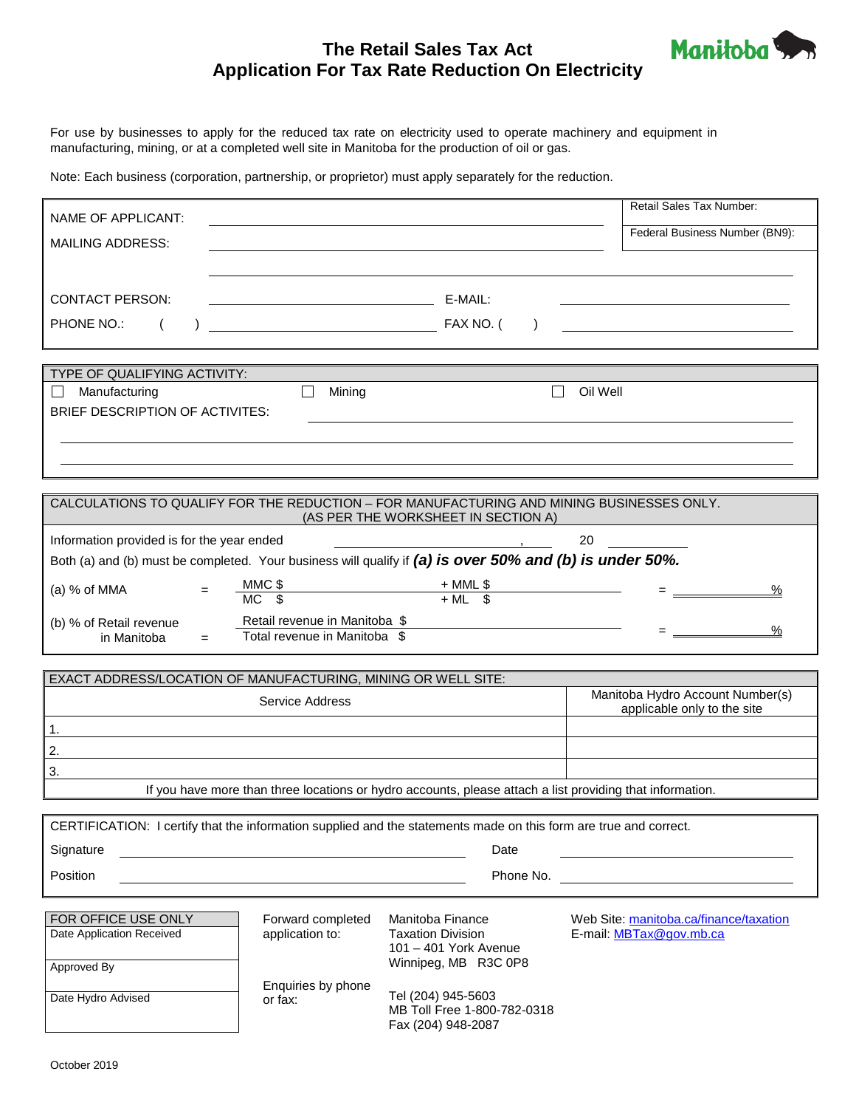# **The Retail Sales Tax Act Application For Tax Rate Reduction On Electricity**



For use by businesses to apply for the reduced tax rate on electricity used to operate machinery and equipment in manufacturing, mining, or at a completed well site in Manitoba for the production of oil or gas.

Note: Each business (corporation, partnership, or proprietor) must apply separately for the reduction.

| NAME OF APPLICANT:                                                                                                |                                                                            |                                                                                                           | Retail Sales Tax Number:               |  |  |
|-------------------------------------------------------------------------------------------------------------------|----------------------------------------------------------------------------|-----------------------------------------------------------------------------------------------------------|----------------------------------------|--|--|
| <b>MAILING ADDRESS:</b>                                                                                           |                                                                            |                                                                                                           | Federal Business Number (BN9):         |  |  |
|                                                                                                                   |                                                                            |                                                                                                           |                                        |  |  |
|                                                                                                                   |                                                                            |                                                                                                           |                                        |  |  |
| <b>CONTACT PERSON:</b>                                                                                            | the control of the control of the control of the control of the control of | E-MAIL:                                                                                                   |                                        |  |  |
| PHONE NO.:                                                                                                        |                                                                            | $\lambda$                                                                                                 |                                        |  |  |
|                                                                                                                   |                                                                            |                                                                                                           |                                        |  |  |
| TYPE OF QUALIFYING ACTIVITY:                                                                                      |                                                                            |                                                                                                           |                                        |  |  |
| Oil Well<br>Manufacturing<br>П<br>Mining<br>BRIEF DESCRIPTION OF ACTIVITES:                                       |                                                                            |                                                                                                           |                                        |  |  |
|                                                                                                                   |                                                                            |                                                                                                           |                                        |  |  |
|                                                                                                                   |                                                                            |                                                                                                           |                                        |  |  |
|                                                                                                                   |                                                                            |                                                                                                           |                                        |  |  |
| CALCULATIONS TO QUALIFY FOR THE REDUCTION - FOR MANUFACTURING AND MINING BUSINESSES ONLY.                         |                                                                            |                                                                                                           |                                        |  |  |
|                                                                                                                   |                                                                            | (AS PER THE WORKSHEET IN SECTION A)                                                                       |                                        |  |  |
| Information provided is for the year ended                                                                        |                                                                            |                                                                                                           | 20                                     |  |  |
| Both (a) and (b) must be completed. Your business will qualify if (a) is over 50% and (b) is under 50%.           |                                                                            |                                                                                                           |                                        |  |  |
| (a) $%$ of MMA                                                                                                    | $MMC$ \$                                                                   | $+$ MML \$<br>$+$ ML \$                                                                                   |                                        |  |  |
| (b) % of Retail revenue                                                                                           | Retail revenue in Manitoba \$                                              |                                                                                                           |                                        |  |  |
| in Manitoba<br>$=$                                                                                                | Total revenue in Manitoba \$                                               | <u> 1989 - Johann Harry Barn, mars ar breist fan de Fryske k</u>                                          |                                        |  |  |
|                                                                                                                   |                                                                            |                                                                                                           |                                        |  |  |
| EXACT ADDRESS/LOCATION OF MANUFACTURING, MINING OR WELL SITE:                                                     |                                                                            |                                                                                                           | Manitoba Hydro Account Number(s)       |  |  |
| Service Address                                                                                                   |                                                                            |                                                                                                           | applicable only to the site            |  |  |
| 1.                                                                                                                |                                                                            |                                                                                                           |                                        |  |  |
| 2.                                                                                                                |                                                                            |                                                                                                           |                                        |  |  |
| 3.                                                                                                                |                                                                            |                                                                                                           |                                        |  |  |
|                                                                                                                   |                                                                            | If you have more than three locations or hydro accounts, please attach a list providing that information. |                                        |  |  |
| CERTIFICATION: I certify that the information supplied and the statements made on this form are true and correct. |                                                                            |                                                                                                           |                                        |  |  |
| Signature                                                                                                         |                                                                            | Date                                                                                                      |                                        |  |  |
| Position<br>Phone No.                                                                                             |                                                                            |                                                                                                           |                                        |  |  |
|                                                                                                                   |                                                                            |                                                                                                           |                                        |  |  |
| FOR OFFICE USE ONLY                                                                                               | Forward completed                                                          | Manitoba Finance                                                                                          | Web Site: manitoba.ca/finance/taxation |  |  |
| Date Application Received                                                                                         | application to:                                                            | <b>Taxation Division</b><br>101 - 401 York Avenue                                                         | E-mail: MBTax@gov.mb.ca                |  |  |
| Approved By                                                                                                       |                                                                            | Winnipeg, MB R3C 0P8                                                                                      |                                        |  |  |
| Date Hydro Advised                                                                                                | Enquiries by phone                                                         | Tel (204) 945-5603                                                                                        |                                        |  |  |
|                                                                                                                   | or fax:                                                                    | MB Toll Free 1-800-782-0318                                                                               |                                        |  |  |
|                                                                                                                   |                                                                            | Fax (204) 948-2087                                                                                        |                                        |  |  |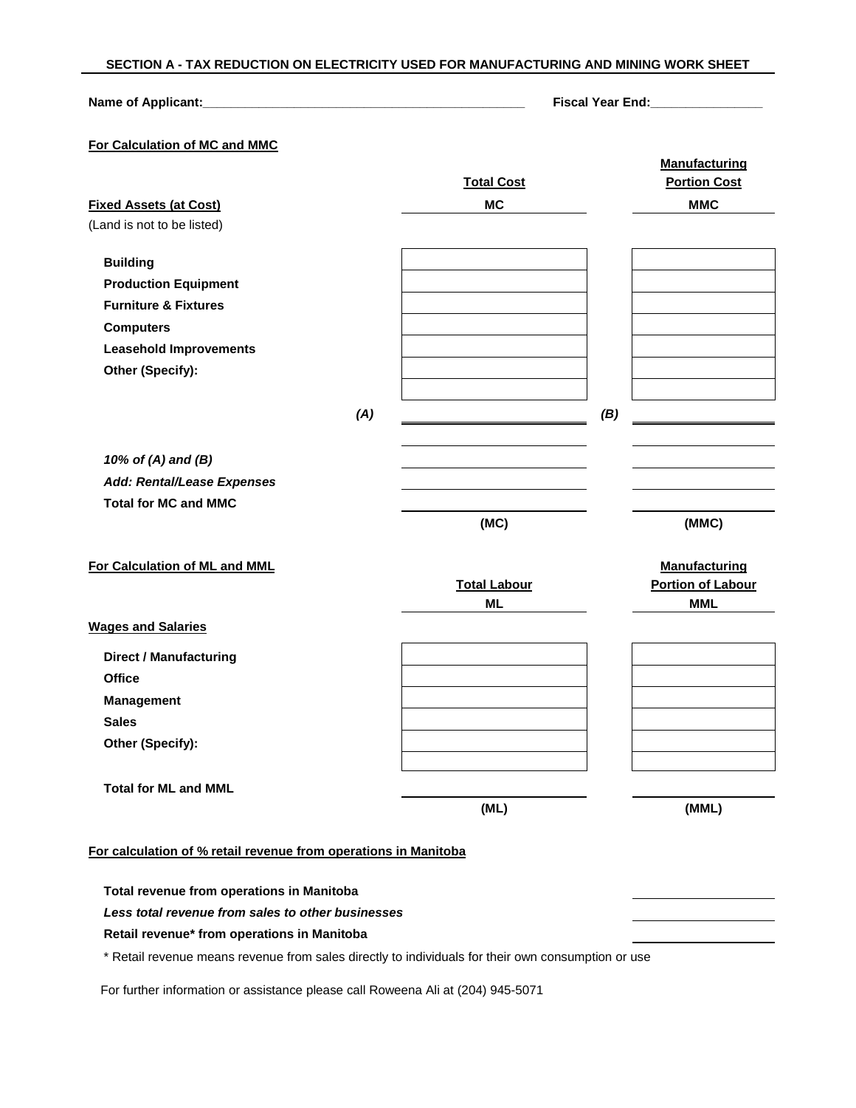### **SECTION A - TAX REDUCTION ON ELECTRICITY USED FOR MANUFACTURING AND MINING WORK SHEET**

## **Name of Applicant:\_\_\_\_\_\_\_\_\_\_\_\_\_\_\_\_\_\_\_\_\_\_\_\_\_\_\_\_\_\_\_\_\_\_\_\_\_\_\_\_\_\_\_\_\_\_ Fiscal Year End:\_\_\_\_\_\_\_\_\_\_\_\_\_\_\_\_**

# **For Calculation of MC and MMC**

|                                                                 |     |                     |     | <b>Manufacturing</b>     |
|-----------------------------------------------------------------|-----|---------------------|-----|--------------------------|
|                                                                 |     | <b>Total Cost</b>   |     | <b>Portion Cost</b>      |
| <b>Fixed Assets (at Cost)</b>                                   |     | <b>MC</b>           |     | <b>MMC</b>               |
| (Land is not to be listed)                                      |     |                     |     |                          |
| <b>Building</b>                                                 |     |                     |     |                          |
| <b>Production Equipment</b>                                     |     |                     |     |                          |
| <b>Furniture &amp; Fixtures</b>                                 |     |                     |     |                          |
| <b>Computers</b>                                                |     |                     |     |                          |
| <b>Leasehold Improvements</b>                                   |     |                     |     |                          |
| Other (Specify):                                                |     |                     |     |                          |
|                                                                 | (A) |                     | (B) |                          |
| 10% of (A) and (B)                                              |     |                     |     |                          |
| Add: Rental/Lease Expenses                                      |     |                     |     |                          |
| <b>Total for MC and MMC</b>                                     |     |                     |     |                          |
|                                                                 |     | (MC)                |     | (MMC)                    |
| For Calculation of ML and MML                                   |     |                     |     | <b>Manufacturing</b>     |
|                                                                 |     | <b>Total Labour</b> |     | <b>Portion of Labour</b> |
|                                                                 |     | <b>ML</b>           |     | <b>MML</b>               |
| <b>Wages and Salaries</b>                                       |     |                     |     |                          |
| <b>Direct / Manufacturing</b>                                   |     |                     |     |                          |
| <b>Office</b>                                                   |     |                     |     |                          |
| <b>Management</b>                                               |     |                     |     |                          |
| <b>Sales</b>                                                    |     |                     |     |                          |
| Other (Specify):                                                |     |                     |     |                          |
| <b>Total for ML and MML</b>                                     |     |                     |     |                          |
|                                                                 |     | (ML)                |     | (MML)                    |
| For calculation of % retail revenue from operations in Manitoba |     |                     |     |                          |
|                                                                 |     |                     |     |                          |
| Total revenue from operations in Manitoba                       |     |                     |     |                          |

*Less total revenue from sales to other businesses*

### **Retail revenue\* from operations in Manitoba**

\* Retail revenue means revenue from sales directly to individuals for their own consumption or use

For further information or assistance please call Roweena Ali at (204) 945-5071